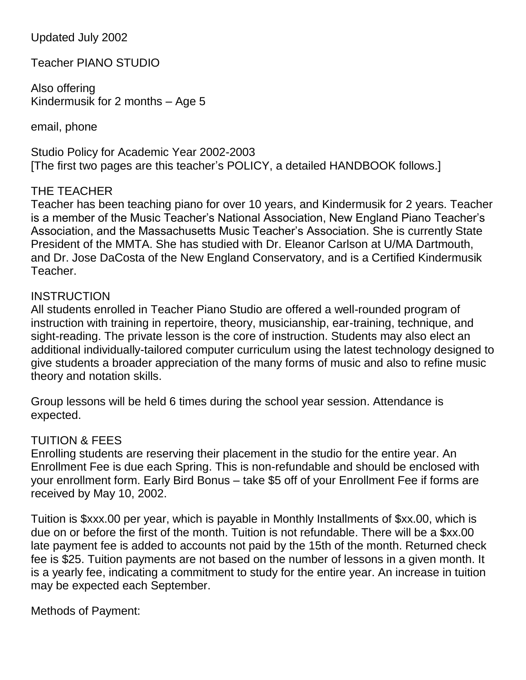Updated July 2002

Teacher PIANO STUDIO

Also offering Kindermusik for 2 months – Age 5

email, phone

Studio Policy for Academic Year 2002-2003 [The first two pages are this teacher"s POLICY, a detailed HANDBOOK follows.]

# THE TEACHER

Teacher has been teaching piano for over 10 years, and Kindermusik for 2 years. Teacher is a member of the Music Teacher"s National Association, New England Piano Teacher"s Association, and the Massachusetts Music Teacher"s Association. She is currently State President of the MMTA. She has studied with Dr. Eleanor Carlson at U/MA Dartmouth, and Dr. Jose DaCosta of the New England Conservatory, and is a Certified Kindermusik Teacher.

# **INSTRUCTION**

All students enrolled in Teacher Piano Studio are offered a well-rounded program of instruction with training in repertoire, theory, musicianship, ear-training, technique, and sight-reading. The private lesson is the core of instruction. Students may also elect an additional individually-tailored computer curriculum using the latest technology designed to give students a broader appreciation of the many forms of music and also to refine music theory and notation skills.

Group lessons will be held 6 times during the school year session. Attendance is expected.

# TUITION & FEES

Enrolling students are reserving their placement in the studio for the entire year. An Enrollment Fee is due each Spring. This is non-refundable and should be enclosed with your enrollment form. Early Bird Bonus – take \$5 off of your Enrollment Fee if forms are received by May 10, 2002.

Tuition is \$xxx.00 per year, which is payable in Monthly Installments of \$xx.00, which is due on or before the first of the month. Tuition is not refundable. There will be a \$xx.00 late payment fee is added to accounts not paid by the 15th of the month. Returned check fee is \$25. Tuition payments are not based on the number of lessons in a given month. It is a yearly fee, indicating a commitment to study for the entire year. An increase in tuition may be expected each September.

# Methods of Payment: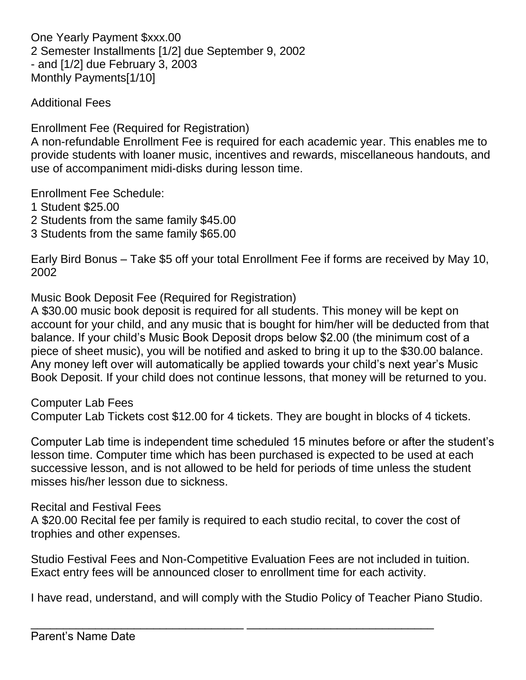One Yearly Payment \$xxx.00 2 Semester Installments [1/2] due September 9, 2002 - and [1/2] due February 3, 2003 Monthly Payments[1/10]

Additional Fees

Enrollment Fee (Required for Registration)

A non-refundable Enrollment Fee is required for each academic year. This enables me to provide students with loaner music, incentives and rewards, miscellaneous handouts, and use of accompaniment midi-disks during lesson time.

Enrollment Fee Schedule:

- 1 Student \$25.00
- 2 Students from the same family \$45.00
- 3 Students from the same family \$65.00

Early Bird Bonus – Take \$5 off your total Enrollment Fee if forms are received by May 10, 2002

Music Book Deposit Fee (Required for Registration)

A \$30.00 music book deposit is required for all students. This money will be kept on account for your child, and any music that is bought for him/her will be deducted from that balance. If your child"s Music Book Deposit drops below \$2.00 (the minimum cost of a piece of sheet music), you will be notified and asked to bring it up to the \$30.00 balance. Any money left over will automatically be applied towards your child"s next year"s Music Book Deposit. If your child does not continue lessons, that money will be returned to you.

Computer Lab Fees

Computer Lab Tickets cost \$12.00 for 4 tickets. They are bought in blocks of 4 tickets.

Computer Lab time is independent time scheduled 15 minutes before or after the student"s lesson time. Computer time which has been purchased is expected to be used at each successive lesson, and is not allowed to be held for periods of time unless the student misses his/her lesson due to sickness.

Recital and Festival Fees

A \$20.00 Recital fee per family is required to each studio recital, to cover the cost of trophies and other expenses.

Studio Festival Fees and Non-Competitive Evaluation Fees are not included in tuition. Exact entry fees will be announced closer to enrollment time for each activity.

I have read, understand, and will comply with the Studio Policy of Teacher Piano Studio.

\_\_\_\_\_\_\_\_\_\_\_\_\_\_\_\_\_\_\_\_\_\_\_\_\_\_\_\_\_\_\_\_\_ \_\_\_\_\_\_\_\_\_\_\_\_\_\_\_\_\_\_\_\_\_\_\_\_\_\_\_\_\_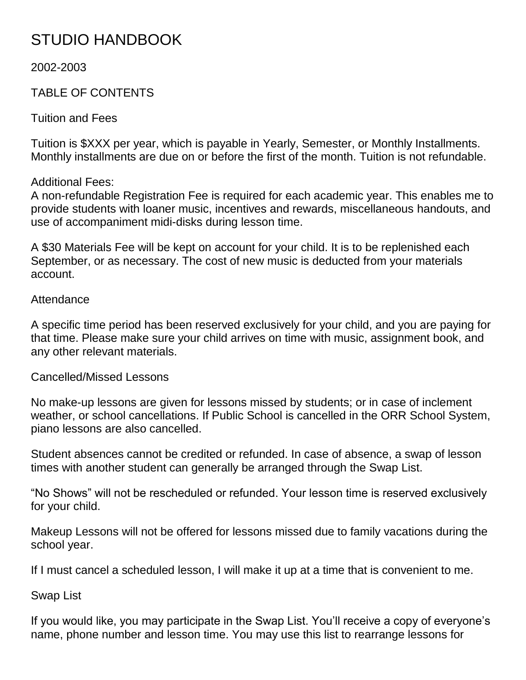# STUDIO HANDBOOK

2002-2003

# TABLE OF CONTENTS

Tuition and Fees

Tuition is \$XXX per year, which is payable in Yearly, Semester, or Monthly Installments. Monthly installments are due on or before the first of the month. Tuition is not refundable.

Additional Fees:

A non-refundable Registration Fee is required for each academic year. This enables me to provide students with loaner music, incentives and rewards, miscellaneous handouts, and use of accompaniment midi-disks during lesson time.

A \$30 Materials Fee will be kept on account for your child. It is to be replenished each September, or as necessary. The cost of new music is deducted from your materials account.

## Attendance

A specific time period has been reserved exclusively for your child, and you are paying for that time. Please make sure your child arrives on time with music, assignment book, and any other relevant materials.

Cancelled/Missed Lessons

No make-up lessons are given for lessons missed by students; or in case of inclement weather, or school cancellations. If Public School is cancelled in the ORR School System, piano lessons are also cancelled.

Student absences cannot be credited or refunded. In case of absence, a swap of lesson times with another student can generally be arranged through the Swap List.

"No Shows" will not be rescheduled or refunded. Your lesson time is reserved exclusively for your child.

Makeup Lessons will not be offered for lessons missed due to family vacations during the school year.

If I must cancel a scheduled lesson, I will make it up at a time that is convenient to me.

Swap List

If you would like, you may participate in the Swap List. You"ll receive a copy of everyone"s name, phone number and lesson time. You may use this list to rearrange lessons for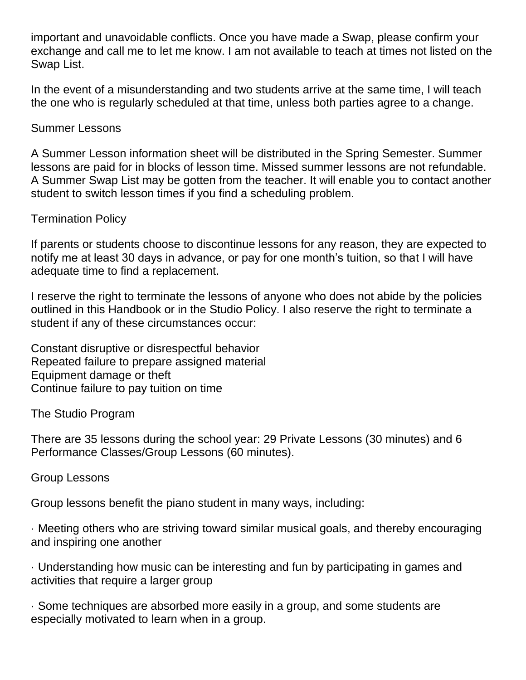important and unavoidable conflicts. Once you have made a Swap, please confirm your exchange and call me to let me know. I am not available to teach at times not listed on the Swap List.

In the event of a misunderstanding and two students arrive at the same time, I will teach the one who is regularly scheduled at that time, unless both parties agree to a change.

## Summer Lessons

A Summer Lesson information sheet will be distributed in the Spring Semester. Summer lessons are paid for in blocks of lesson time. Missed summer lessons are not refundable. A Summer Swap List may be gotten from the teacher. It will enable you to contact another student to switch lesson times if you find a scheduling problem.

## Termination Policy

If parents or students choose to discontinue lessons for any reason, they are expected to notify me at least 30 days in advance, or pay for one month"s tuition, so that I will have adequate time to find a replacement.

I reserve the right to terminate the lessons of anyone who does not abide by the policies outlined in this Handbook or in the Studio Policy. I also reserve the right to terminate a student if any of these circumstances occur:

Constant disruptive or disrespectful behavior Repeated failure to prepare assigned material Equipment damage or theft Continue failure to pay tuition on time

The Studio Program

There are 35 lessons during the school year: 29 Private Lessons (30 minutes) and 6 Performance Classes/Group Lessons (60 minutes).

Group Lessons

Group lessons benefit the piano student in many ways, including:

· Meeting others who are striving toward similar musical goals, and thereby encouraging and inspiring one another

· Understanding how music can be interesting and fun by participating in games and activities that require a larger group

· Some techniques are absorbed more easily in a group, and some students are especially motivated to learn when in a group.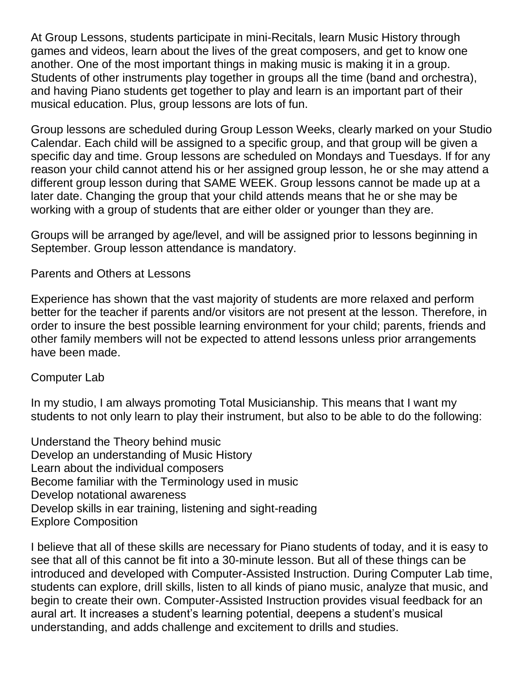At Group Lessons, students participate in mini-Recitals, learn Music History through games and videos, learn about the lives of the great composers, and get to know one another. One of the most important things in making music is making it in a group. Students of other instruments play together in groups all the time (band and orchestra), and having Piano students get together to play and learn is an important part of their musical education. Plus, group lessons are lots of fun.

Group lessons are scheduled during Group Lesson Weeks, clearly marked on your Studio Calendar. Each child will be assigned to a specific group, and that group will be given a specific day and time. Group lessons are scheduled on Mondays and Tuesdays. If for any reason your child cannot attend his or her assigned group lesson, he or she may attend a different group lesson during that SAME WEEK. Group lessons cannot be made up at a later date. Changing the group that your child attends means that he or she may be working with a group of students that are either older or younger than they are.

Groups will be arranged by age/level, and will be assigned prior to lessons beginning in September. Group lesson attendance is mandatory.

#### Parents and Others at Lessons

Experience has shown that the vast majority of students are more relaxed and perform better for the teacher if parents and/or visitors are not present at the lesson. Therefore, in order to insure the best possible learning environment for your child; parents, friends and other family members will not be expected to attend lessons unless prior arrangements have been made.

#### Computer Lab

In my studio, I am always promoting Total Musicianship. This means that I want my students to not only learn to play their instrument, but also to be able to do the following:

Understand the Theory behind music Develop an understanding of Music History Learn about the individual composers Become familiar with the Terminology used in music Develop notational awareness Develop skills in ear training, listening and sight-reading Explore Composition

I believe that all of these skills are necessary for Piano students of today, and it is easy to see that all of this cannot be fit into a 30-minute lesson. But all of these things can be introduced and developed with Computer-Assisted Instruction. During Computer Lab time, students can explore, drill skills, listen to all kinds of piano music, analyze that music, and begin to create their own. Computer-Assisted Instruction provides visual feedback for an aural art. It increases a student"s learning potential, deepens a student"s musical understanding, and adds challenge and excitement to drills and studies.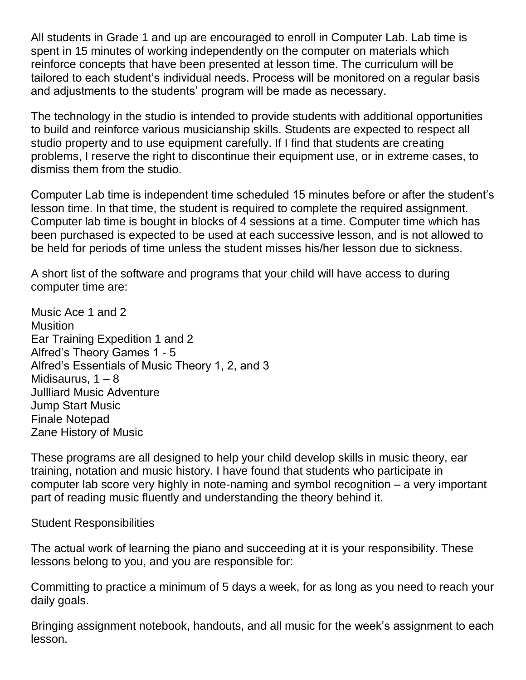All students in Grade 1 and up are encouraged to enroll in Computer Lab. Lab time is spent in 15 minutes of working independently on the computer on materials which reinforce concepts that have been presented at lesson time. The curriculum will be tailored to each student"s individual needs. Process will be monitored on a regular basis and adjustments to the students' program will be made as necessary.

The technology in the studio is intended to provide students with additional opportunities to build and reinforce various musicianship skills. Students are expected to respect all studio property and to use equipment carefully. If I find that students are creating problems, I reserve the right to discontinue their equipment use, or in extreme cases, to dismiss them from the studio.

Computer Lab time is independent time scheduled 15 minutes before or after the student"s lesson time. In that time, the student is required to complete the required assignment. Computer lab time is bought in blocks of 4 sessions at a time. Computer time which has been purchased is expected to be used at each successive lesson, and is not allowed to be held for periods of time unless the student misses his/her lesson due to sickness.

A short list of the software and programs that your child will have access to during computer time are:

Music Ace 1 and 2 **Musition** Ear Training Expedition 1 and 2 Alfred"s Theory Games 1 - 5 Alfred"s Essentials of Music Theory 1, 2, and 3 Midisaurus,  $1 - 8$ Jullliard Music Adventure Jump Start Music Finale Notepad Zane History of Music

These programs are all designed to help your child develop skills in music theory, ear training, notation and music history. I have found that students who participate in computer lab score very highly in note-naming and symbol recognition – a very important part of reading music fluently and understanding the theory behind it.

Student Responsibilities

The actual work of learning the piano and succeeding at it is your responsibility. These lessons belong to you, and you are responsible for:

Committing to practice a minimum of 5 days a week, for as long as you need to reach your daily goals.

Bringing assignment notebook, handouts, and all music for the week"s assignment to each lesson.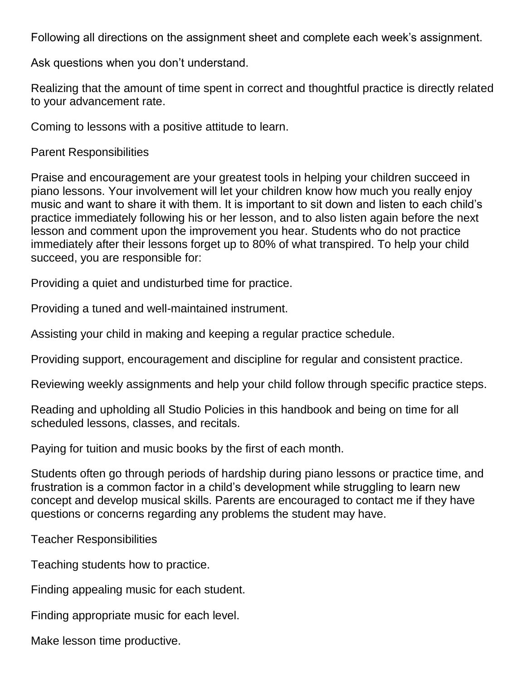Following all directions on the assignment sheet and complete each week"s assignment.

Ask questions when you don't understand.

Realizing that the amount of time spent in correct and thoughtful practice is directly related to your advancement rate.

Coming to lessons with a positive attitude to learn.

Parent Responsibilities

Praise and encouragement are your greatest tools in helping your children succeed in piano lessons. Your involvement will let your children know how much you really enjoy music and want to share it with them. It is important to sit down and listen to each child"s practice immediately following his or her lesson, and to also listen again before the next lesson and comment upon the improvement you hear. Students who do not practice immediately after their lessons forget up to 80% of what transpired. To help your child succeed, you are responsible for:

Providing a quiet and undisturbed time for practice.

Providing a tuned and well-maintained instrument.

Assisting your child in making and keeping a regular practice schedule.

Providing support, encouragement and discipline for regular and consistent practice.

Reviewing weekly assignments and help your child follow through specific practice steps.

Reading and upholding all Studio Policies in this handbook and being on time for all scheduled lessons, classes, and recitals.

Paying for tuition and music books by the first of each month.

Students often go through periods of hardship during piano lessons or practice time, and frustration is a common factor in a child"s development while struggling to learn new concept and develop musical skills. Parents are encouraged to contact me if they have questions or concerns regarding any problems the student may have.

Teacher Responsibilities

Teaching students how to practice.

Finding appealing music for each student.

Finding appropriate music for each level.

Make lesson time productive.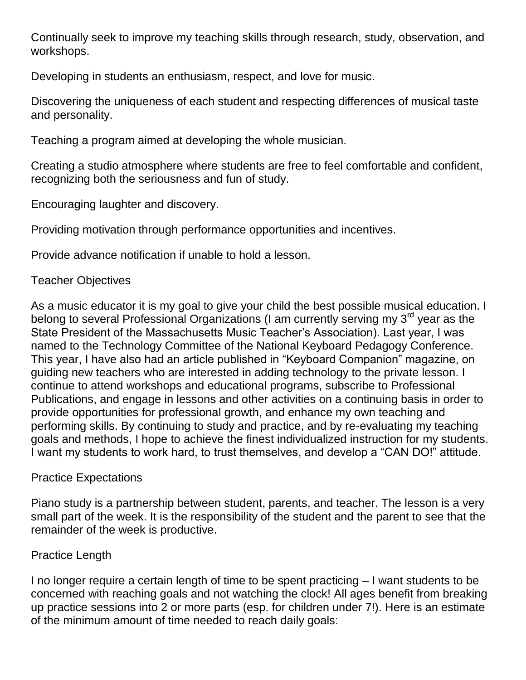Continually seek to improve my teaching skills through research, study, observation, and workshops.

Developing in students an enthusiasm, respect, and love for music.

Discovering the uniqueness of each student and respecting differences of musical taste and personality.

Teaching a program aimed at developing the whole musician.

Creating a studio atmosphere where students are free to feel comfortable and confident, recognizing both the seriousness and fun of study.

Encouraging laughter and discovery.

Providing motivation through performance opportunities and incentives.

Provide advance notification if unable to hold a lesson.

## Teacher Objectives

As a music educator it is my goal to give your child the best possible musical education. I belong to several Professional Organizations (I am currently serving my 3<sup>rd</sup> year as the State President of the Massachusetts Music Teacher"s Association). Last year, I was named to the Technology Committee of the National Keyboard Pedagogy Conference. This year, I have also had an article published in "Keyboard Companion" magazine, on guiding new teachers who are interested in adding technology to the private lesson. I continue to attend workshops and educational programs, subscribe to Professional Publications, and engage in lessons and other activities on a continuing basis in order to provide opportunities for professional growth, and enhance my own teaching and performing skills. By continuing to study and practice, and by re-evaluating my teaching goals and methods, I hope to achieve the finest individualized instruction for my students. I want my students to work hard, to trust themselves, and develop a "CAN DO!" attitude.

## Practice Expectations

Piano study is a partnership between student, parents, and teacher. The lesson is a very small part of the week. It is the responsibility of the student and the parent to see that the remainder of the week is productive.

# Practice Length

I no longer require a certain length of time to be spent practicing – I want students to be concerned with reaching goals and not watching the clock! All ages benefit from breaking up practice sessions into 2 or more parts (esp. for children under 7!). Here is an estimate of the minimum amount of time needed to reach daily goals: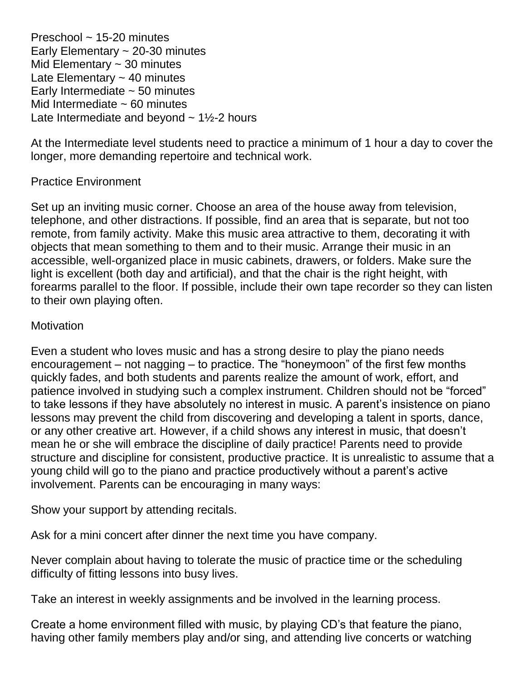Preschool ~ 15-20 minutes Early Elementary  $\sim$  20-30 minutes Mid Elementary  $\sim$  30 minutes Late Elementary  $\sim$  40 minutes Early Intermediate  $\sim$  50 minutes Mid Intermediate  $\sim$  60 minutes Late Intermediate and beyond  $\sim$  1½-2 hours

At the Intermediate level students need to practice a minimum of 1 hour a day to cover the longer, more demanding repertoire and technical work.

## Practice Environment

Set up an inviting music corner. Choose an area of the house away from television, telephone, and other distractions. If possible, find an area that is separate, but not too remote, from family activity. Make this music area attractive to them, decorating it with objects that mean something to them and to their music. Arrange their music in an accessible, well-organized place in music cabinets, drawers, or folders. Make sure the light is excellent (both day and artificial), and that the chair is the right height, with forearms parallel to the floor. If possible, include their own tape recorder so they can listen to their own playing often.

## **Motivation**

Even a student who loves music and has a strong desire to play the piano needs encouragement – not nagging – to practice. The "honeymoon" of the first few months quickly fades, and both students and parents realize the amount of work, effort, and patience involved in studying such a complex instrument. Children should not be "forced" to take lessons if they have absolutely no interest in music. A parent"s insistence on piano lessons may prevent the child from discovering and developing a talent in sports, dance, or any other creative art. However, if a child shows any interest in music, that doesn"t mean he or she will embrace the discipline of daily practice! Parents need to provide structure and discipline for consistent, productive practice. It is unrealistic to assume that a young child will go to the piano and practice productively without a parent"s active involvement. Parents can be encouraging in many ways:

Show your support by attending recitals.

Ask for a mini concert after dinner the next time you have company.

Never complain about having to tolerate the music of practice time or the scheduling difficulty of fitting lessons into busy lives.

Take an interest in weekly assignments and be involved in the learning process.

Create a home environment filled with music, by playing CD"s that feature the piano, having other family members play and/or sing, and attending live concerts or watching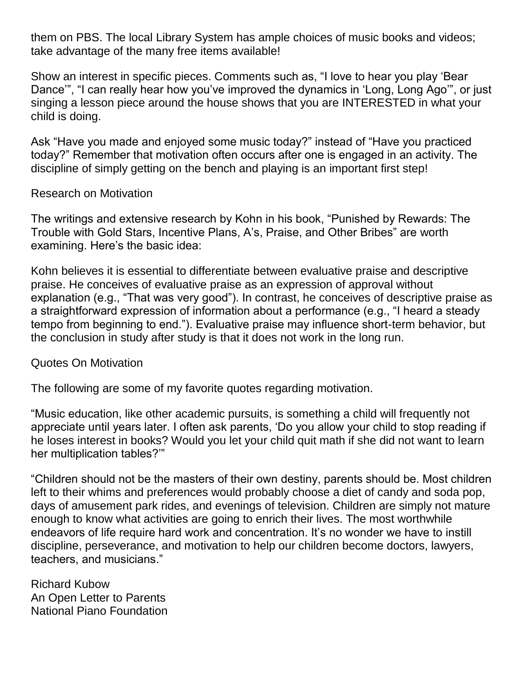them on PBS. The local Library System has ample choices of music books and videos; take advantage of the many free items available!

Show an interest in specific pieces. Comments such as, "I love to hear you play "Bear Dance", "I can really hear how you've improved the dynamics in 'Long, Long Ago'", or just singing a lesson piece around the house shows that you are INTERESTED in what your child is doing.

Ask "Have you made and enjoyed some music today?" instead of "Have you practiced today?" Remember that motivation often occurs after one is engaged in an activity. The discipline of simply getting on the bench and playing is an important first step!

## Research on Motivation

The writings and extensive research by Kohn in his book, "Punished by Rewards: The Trouble with Gold Stars, Incentive Plans, A"s, Praise, and Other Bribes" are worth examining. Here's the basic idea:

Kohn believes it is essential to differentiate between evaluative praise and descriptive praise. He conceives of evaluative praise as an expression of approval without explanation (e.g., "That was very good"). In contrast, he conceives of descriptive praise as a straightforward expression of information about a performance (e.g., "I heard a steady tempo from beginning to end."). Evaluative praise may influence short-term behavior, but the conclusion in study after study is that it does not work in the long run.

## Quotes On Motivation

The following are some of my favorite quotes regarding motivation.

"Music education, like other academic pursuits, is something a child will frequently not appreciate until years later. I often ask parents, "Do you allow your child to stop reading if he loses interest in books? Would you let your child quit math if she did not want to learn her multiplication tables?""

"Children should not be the masters of their own destiny, parents should be. Most children left to their whims and preferences would probably choose a diet of candy and soda pop, days of amusement park rides, and evenings of television. Children are simply not mature enough to know what activities are going to enrich their lives. The most worthwhile endeavors of life require hard work and concentration. It's no wonder we have to instill discipline, perseverance, and motivation to help our children become doctors, lawyers, teachers, and musicians."

Richard Kubow An Open Letter to Parents National Piano Foundation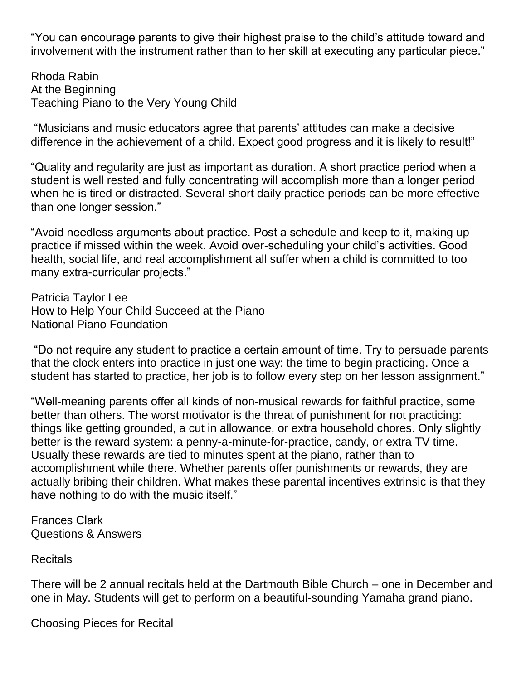"You can encourage parents to give their highest praise to the child"s attitude toward and involvement with the instrument rather than to her skill at executing any particular piece."

Rhoda Rabin At the Beginning Teaching Piano to the Very Young Child

"Musicians and music educators agree that parents" attitudes can make a decisive difference in the achievement of a child. Expect good progress and it is likely to result!"

"Quality and regularity are just as important as duration. A short practice period when a student is well rested and fully concentrating will accomplish more than a longer period when he is tired or distracted. Several short daily practice periods can be more effective than one longer session."

"Avoid needless arguments about practice. Post a schedule and keep to it, making up practice if missed within the week. Avoid over-scheduling your child"s activities. Good health, social life, and real accomplishment all suffer when a child is committed to too many extra-curricular projects."

Patricia Taylor Lee How to Help Your Child Succeed at the Piano National Piano Foundation

"Do not require any student to practice a certain amount of time. Try to persuade parents that the clock enters into practice in just one way: the time to begin practicing. Once a student has started to practice, her job is to follow every step on her lesson assignment."

"Well-meaning parents offer all kinds of non-musical rewards for faithful practice, some better than others. The worst motivator is the threat of punishment for not practicing: things like getting grounded, a cut in allowance, or extra household chores. Only slightly better is the reward system: a penny-a-minute-for-practice, candy, or extra TV time. Usually these rewards are tied to minutes spent at the piano, rather than to accomplishment while there. Whether parents offer punishments or rewards, they are actually bribing their children. What makes these parental incentives extrinsic is that they have nothing to do with the music itself."

Frances Clark Questions & Answers

Recitals

There will be 2 annual recitals held at the Dartmouth Bible Church – one in December and one in May. Students will get to perform on a beautiful-sounding Yamaha grand piano.

Choosing Pieces for Recital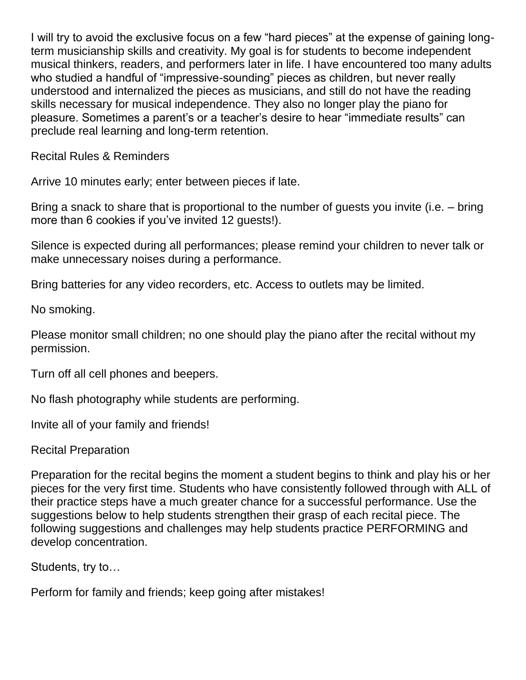I will try to avoid the exclusive focus on a few "hard pieces" at the expense of gaining longterm musicianship skills and creativity. My goal is for students to become independent musical thinkers, readers, and performers later in life. I have encountered too many adults who studied a handful of "impressive-sounding" pieces as children, but never really understood and internalized the pieces as musicians, and still do not have the reading skills necessary for musical independence. They also no longer play the piano for pleasure. Sometimes a parent"s or a teacher"s desire to hear "immediate results" can preclude real learning and long-term retention.

Recital Rules & Reminders

Arrive 10 minutes early; enter between pieces if late.

Bring a snack to share that is proportional to the number of guests you invite (i.e. – bring more than 6 cookies if you've invited 12 guests!).

Silence is expected during all performances; please remind your children to never talk or make unnecessary noises during a performance.

Bring batteries for any video recorders, etc. Access to outlets may be limited.

No smoking.

Please monitor small children; no one should play the piano after the recital without my permission.

Turn off all cell phones and beepers.

No flash photography while students are performing.

Invite all of your family and friends!

Recital Preparation

Preparation for the recital begins the moment a student begins to think and play his or her pieces for the very first time. Students who have consistently followed through with ALL of their practice steps have a much greater chance for a successful performance. Use the suggestions below to help students strengthen their grasp of each recital piece. The following suggestions and challenges may help students practice PERFORMING and develop concentration.

Students, try to…

Perform for family and friends; keep going after mistakes!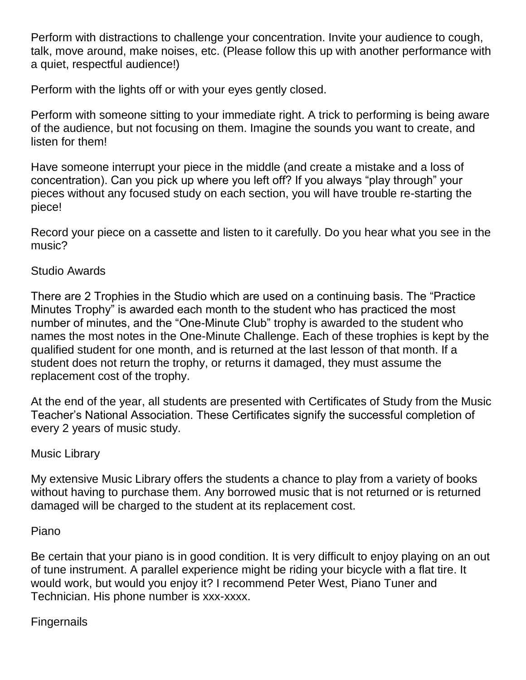Perform with distractions to challenge your concentration. Invite your audience to cough, talk, move around, make noises, etc. (Please follow this up with another performance with a quiet, respectful audience!)

Perform with the lights off or with your eyes gently closed.

Perform with someone sitting to your immediate right. A trick to performing is being aware of the audience, but not focusing on them. Imagine the sounds you want to create, and listen for them!

Have someone interrupt your piece in the middle (and create a mistake and a loss of concentration). Can you pick up where you left off? If you always "play through" your pieces without any focused study on each section, you will have trouble re-starting the piece!

Record your piece on a cassette and listen to it carefully. Do you hear what you see in the music?

## Studio Awards

There are 2 Trophies in the Studio which are used on a continuing basis. The "Practice Minutes Trophy" is awarded each month to the student who has practiced the most number of minutes, and the "One-Minute Club" trophy is awarded to the student who names the most notes in the One-Minute Challenge. Each of these trophies is kept by the qualified student for one month, and is returned at the last lesson of that month. If a student does not return the trophy, or returns it damaged, they must assume the replacement cost of the trophy.

At the end of the year, all students are presented with Certificates of Study from the Music Teacher"s National Association. These Certificates signify the successful completion of every 2 years of music study.

Music Library

My extensive Music Library offers the students a chance to play from a variety of books without having to purchase them. Any borrowed music that is not returned or is returned damaged will be charged to the student at its replacement cost.

## Piano

Be certain that your piano is in good condition. It is very difficult to enjoy playing on an out of tune instrument. A parallel experience might be riding your bicycle with a flat tire. It would work, but would you enjoy it? I recommend Peter West, Piano Tuner and Technician. His phone number is xxx-xxxx.

# Fingernails